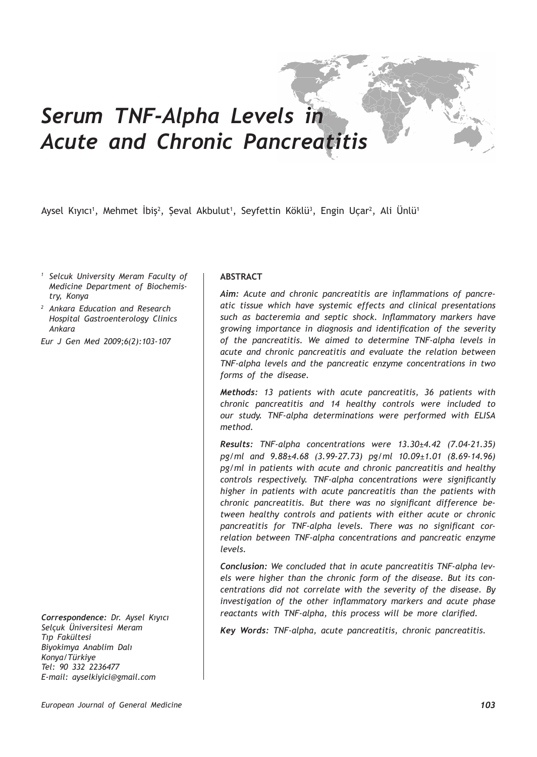# *Serum TNF-Alpha Levels in Acute and Chronic Pancreatitis*

Aysel Kıyıcı<sup>1</sup>, Mehmet İbiş<sup>2</sup>, Şeval Akbulut<sup>1</sup>, Seyfettin Köklü<sup>3</sup>, Engin Uçar<sup>2</sup>, Ali Ünlü<sup>1</sup>

- *<sup>1</sup> Selcuk University Meram Faculty of Medicine Department of Biochemistry, Konya*
- *<sup>2</sup> Ankara Education and Research Hospital Gastroenterology Clinics Ankara*

*Eur J Gen Med 2009;6(2):103-107*

*Correspondence: Dr. Aysel Kıyıcı Selçuk Üniversitesi Meram Tıp Fakültesi Biyokimya Anablim Dalı Konya/Türkiye Tel: 90 332 2236477 E-mail: ayselkiyici@gmail.com*

## **ABSTRACT**

*Aim: Acute and chronic pancreatitis are inflammations of pancreatic tissue which have systemic effects and clinical presentations such as bacteremia and septic shock. Inflammatory markers have growing importance in diagnosis and identification of the severity of the pancreatitis. We aimed to determine TNF-alpha levels in acute and chronic pancreatitis and evaluate the relation between TNF-alpha levels and the pancreatic enzyme concentrations in two forms of the disease.*

*Methods: 13 patients with acute pancreatitis, 36 patients with chronic pancreatitis and 14 healthy controls were included to our study. TNF-alpha determinations were performed with ELISA method.*

*Results: TNF-alpha concentrations were 13.30±4.42 (7.04-21.35) pg/ml and 9.88±4.68 (3.99-27.73) pg/ml 10.09±1.01 (8.69-14.96) pg/ml in patients with acute and chronic pancreatitis and healthy controls respectively. TNF-alpha concentrations were significantly higher in patients with acute pancreatitis than the patients with chronic pancreatitis. But there was no significant difference between healthy controls and patients with either acute or chronic pancreatitis for TNF-alpha levels. There was no significant correlation between TNF-alpha concentrations and pancreatic enzyme levels.*

*Conclusion: We concluded that in acute pancreatitis TNF-alpha levels were higher than the chronic form of the disease. But its concentrations did not correlate with the severity of the disease. By investigation of the other inflammatory markers and acute phase reactants with TNF-alpha, this process will be more clarified.*

*Key Words: TNF-alpha, acute pancreatitis, chronic pancreatitis.*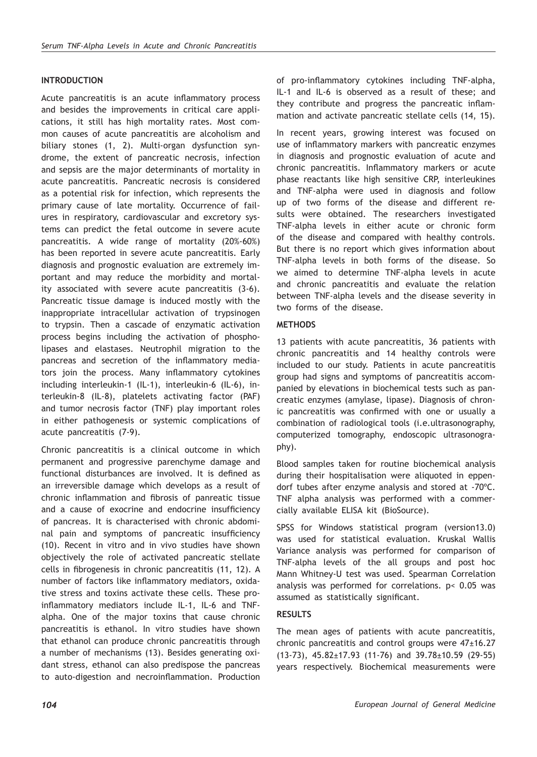# **INTRODUCTION**

Acute pancreatitis is an acute inflammatory process and besides the improvements in critical care applications, it still has high mortality rates. Most common causes of acute pancreatitis are alcoholism and biliary stones (1, 2). Multi-organ dysfunction syndrome, the extent of pancreatic necrosis, infection and sepsis are the major determinants of mortality in acute pancreatitis. Pancreatic necrosis is considered as a potential risk for infection, which represents the primary cause of late mortality. Occurrence of failures in respiratory, cardiovascular and excretory systems can predict the fetal outcome in severe acute pancreatitis. A wide range of mortality (20%-60%) has been reported in severe acute pancreatitis. Early diagnosis and prognostic evaluation are extremely important and may reduce the morbidity and mortality associated with severe acute pancreatitis (3-6). Pancreatic tissue damage is induced mostly with the inappropriate intracellular activation of trypsinogen to trypsin. Then a cascade of enzymatic activation process begins including the activation of phospholipases and elastases. Neutrophil migration to the pancreas and secretion of the inflammatory mediators join the process. Many inflammatory cytokines including interleukin-1 (IL-1), interleukin-6 (IL-6), interleukin-8 (IL-8), platelets activating factor (PAF) and tumor necrosis factor (TNF) play important roles in either pathogenesis or systemic complications of acute pancreatitis (7-9).

Chronic pancreatitis is a clinical outcome in which permanent and progressive parenchyme damage and functional disturbances are involved. It is defined as an irreversible damage which develops as a result of chronic inflammation and fibrosis of panreatic tissue and a cause of exocrine and endocrine insufficiency of pancreas. It is characterised with chronic abdominal pain and symptoms of pancreatic insufficiency (10). Recent in vitro and in vivo studies have shown objectively the role of activated pancreatic stellate cells in fibrogenesis in chronic pancreatitis (11, 12). A number of factors like inflammatory mediators, oxidative stress and toxins activate these cells. These proinflammatory mediators include IL-1, IL-6 and TNFalpha. One of the major toxins that cause chronic pancreatitis is ethanol. In vitro studies have shown that ethanol can produce chronic pancreatitis through a number of mechanisms (13). Besides generating oxidant stress, ethanol can also predispose the pancreas to auto-digestion and necroinflammation. Production of pro-inflammatory cytokines including TNF-alpha, IL-1 and IL-6 is observed as a result of these; and they contribute and progress the pancreatic inflammation and activate pancreatic stellate cells (14, 15).

In recent years, growing interest was focused on use of inflammatory markers with pancreatic enzymes in diagnosis and prognostic evaluation of acute and chronic pancreatitis. Inflammatory markers or acute phase reactants like high sensitive CRP, interleukines and TNF-alpha were used in diagnosis and follow up of two forms of the disease and different results were obtained. The researchers investigated TNF-alpha levels in either acute or chronic form of the disease and compared with healthy controls. But there is no report which gives information about TNF-alpha levels in both forms of the disease. So we aimed to determine TNF-alpha levels in acute and chronic pancreatitis and evaluate the relation between TNF-alpha levels and the disease severity in two forms of the disease.

## **METHODS**

13 patients with acute pancreatitis, 36 patients with chronic pancreatitis and 14 healthy controls were included to our study. Patients in acute pancreatitis group had signs and symptoms of pancreatitis accompanied by elevations in biochemical tests such as pancreatic enzymes (amylase, lipase). Diagnosis of chronic pancreatitis was confirmed with one or usually a combination of radiological tools (i.e.ultrasonography, computerized tomography, endoscopic ultrasonography).

Blood samples taken for routine biochemical analysis during their hospitalisation were aliquoted in eppendorf tubes after enzyme analysis and stored at -70ºC. TNF alpha analysis was performed with a commercially available ELISA kit (BioSource).

SPSS for Windows statistical program (version13.0) was used for statistical evaluation. Kruskal Wallis Variance analysis was performed for comparison of TNF-alpha levels of the all groups and post hoc Mann Whitney-U test was used. Spearman Correlation analysis was performed for correlations. p< 0.05 was assumed as statistically significant.

## **RESULTS**

The mean ages of patients with acute pancreatitis, chronic pancreatitis and control groups were 47±16.27 (13-73), 45.82±17.93 (11-76) and 39.78±10.59 (29-55) years respectively. Biochemical measurements were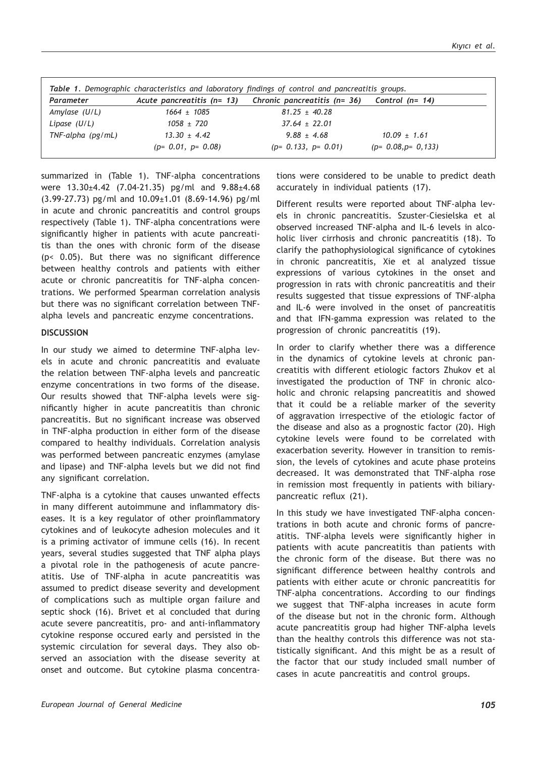| Parameter            | Acute pancreatitis (n= 13) | Chronic pancreatitis (n= 36) | Control (n= $14$ )    |
|----------------------|----------------------------|------------------------------|-----------------------|
| Amylase $(U/L)$      | $1664 + 1085$              | $81.25 \pm 40.28$            |                       |
| Lipase (U/L)         | $1058 \pm 720$             | $37.64 \pm 22.01$            |                       |
| $TNF$ -alpha (pg/mL) | $13.30 \pm 4.42$           | $9.88 \pm 4.68$              | $10.09 \pm 1.61$      |
|                      | $(p= 0.01, p= 0.08)$       | $(p= 0.133, p= 0.01)$        | $(p= 0.08, p= 0.133)$ |

summarized in (Table 1). TNF-alpha concentrations were 13.30±4.42 (7.04-21.35) pg/ml and 9.88±4.68 (3.99-27.73) pg/ml and 10.09±1.01 (8.69-14.96) pg/ml in acute and chronic pancreatitis and control groups respectively (Table 1). TNF-alpha concentrations were significantly higher in patients with acute pancreatitis than the ones with chronic form of the disease (p< 0.05). But there was no significant difference between healthy controls and patients with either acute or chronic pancreatitis for TNF-alpha concentrations. We performed Spearman correlation analysis but there was no significant correlation between TNFalpha levels and pancreatic enzyme concentrations.

#### **DISCUSSION**

In our study we aimed to determine TNF-alpha levels in acute and chronic pancreatitis and evaluate the relation between TNF-alpha levels and pancreatic enzyme concentrations in two forms of the disease. Our results showed that TNF-alpha levels were significantly higher in acute pancreatitis than chronic pancreatitis. But no significant increase was observed in TNF-alpha production in either form of the disease compared to healthy individuals. Correlation analysis was performed between pancreatic enzymes (amylase and lipase) and TNF-alpha levels but we did not find any significant correlation.

TNF-alpha is a cytokine that causes unwanted effects in many different autoimmune and inflammatory diseases. It is a key regulator of other proinflammatory cytokines and of leukocyte adhesion molecules and it is a priming activator of immune cells (16). In recent years, several studies suggested that TNF alpha plays a pivotal role in the pathogenesis of acute pancreatitis. Use of TNF-alpha in acute pancreatitis was assumed to predict disease severity and development of complications such as multiple organ failure and septic shock (16). Brivet et al concluded that during acute severe pancreatitis, pro- and anti-inflammatory cytokine response occured early and persisted in the systemic circulation for several days. They also observed an association with the disease severity at onset and outcome. But cytokine plasma concentrations were considered to be unable to predict death accurately in individual patients (17).

Different results were reported about TNF-alpha levels in chronic pancreatitis. Szuster-Ciesielska et al observed increased TNF-alpha and IL-6 levels in alcoholic liver cirrhosis and chronic pancreatitis (18). To clarify the pathophysiological significance of cytokines in chronic pancreatitis, Xie et al analyzed tissue expressions of various cytokines in the onset and progression in rats with chronic pancreatitis and their results suggested that tissue expressions of TNF-alpha and IL-6 were involved in the onset of pancreatitis and that IFN-gamma expression was related to the progression of chronic pancreatitis (19).

In order to clarify whether there was a difference in the dynamics of cytokine levels at chronic pancreatitis with different etiologic factors Zhukov et al investigated the production of TNF in chronic alcoholic and chronic relapsing pancreatitis and showed that it could be a reliable marker of the severity of aggravation irrespective of the etiologic factor of the disease and also as a prognostic factor (20). High cytokine levels were found to be correlated with exacerbation severity. However in transition to remission, the levels of cytokines and acute phase proteins decreased. It was demonstrated that TNF-alpha rose in remission most frequently in patients with biliarypancreatic reflux (21).

In this study we have investigated TNF-alpha concentrations in both acute and chronic forms of pancreatitis. TNF-alpha levels were significantly higher in patients with acute pancreatitis than patients with the chronic form of the disease. But there was no significant difference between healthy controls and patients with either acute or chronic pancreatitis for TNF-alpha concentrations. According to our findings we suggest that TNF-alpha increases in acute form of the disease but not in the chronic form. Although acute pancreatitis group had higher TNF-alpha levels than the healthy controls this difference was not statistically significant. And this might be as a result of the factor that our study included small number of cases in acute pancreatitis and control groups.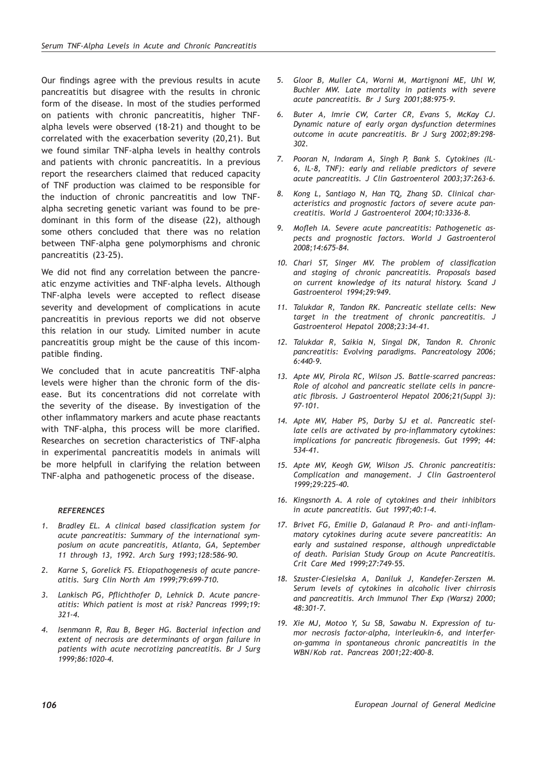Our findings agree with the previous results in acute pancreatitis but disagree with the results in chronic form of the disease. In most of the studies performed on patients with chronic pancreatitis, higher TNFalpha levels were observed (18-21) and thought to be correlated with the exacerbation severity (20,21). But we found similar TNF-alpha levels in healthy controls and patients with chronic pancreatitis. In a previous report the researchers claimed that reduced capacity of TNF production was claimed to be responsible for the induction of chronic pancreatitis and low TNFalpha secreting genetic variant was found to be predominant in this form of the disease (22), although some others concluded that there was no relation between TNF-alpha gene polymorphisms and chronic pancreatitis (23-25).

We did not find any correlation between the pancreatic enzyme activities and TNF-alpha levels. Although TNF-alpha levels were accepted to reflect disease severity and development of complications in acute pancreatitis in previous reports we did not observe this relation in our study. Limited number in acute pancreatitis group might be the cause of this incompatible finding.

We concluded that in acute pancreatitis TNF-alpha levels were higher than the chronic form of the disease. But its concentrations did not correlate with the severity of the disease. By investigation of the other inflammatory markers and acute phase reactants with TNF-alpha, this process will be more clarified. Researches on secretion characteristics of TNF-alpha in experimental pancreatitis models in animals will be more helpfull in clarifying the relation between TNF-alpha and pathogenetic process of the disease.

## *REFERENCES*

- *1. Bradley EL. A clinical based classification system for acute pancreatitis: Summary of the international symposium on acute pancreatitis, Atlanta, GA, September 11 through 13, 1992. Arch Surg 1993;128:586-90.*
- *2. Karne S, Gorelick FS. Etiopathogenesis of acute pancreatitis. Surg Clin North Am 1999;79:699-710.*
- *3. Lankisch PG, Pflichthofer D, Lehnick D. Acute pancreatitis: Which patient is most at risk? Pancreas 1999;19: 321-4.*
- *4. Isenmann R, Rau B, Beger HG. Bacterial infection and extent of necrosis are determinants of organ failure in patients with acute necrotizing pancreatitis. Br J Surg 1999;86:1020-4.*
- *5. Gloor B, Muller CA, Worni M, Martignoni ME, Uhl W, Buchler MW. Late mortality in patients with severe acute pancreatitis. Br J Surg 2001;88:975-9.*
- *6. Buter A, Imrie CW, Carter CR, Evans S, McKay CJ. Dynamic nature of early organ dysfunction determines outcome in acute pancreatitis. Br J Surg 2002;89:298- 302.*
- *7. Pooran N, Indaram A, Singh P, Bank S. Cytokines (IL-6, IL-8, TNF): early and reliable predictors of severe acute pancreatitis. J Clin Gastroenterol 2003;37:263-6.*
- *8. Kong L, Santiago N, Han TQ, Zhang SD. Clinical characteristics and prognostic factors of severe acute pancreatitis. World J Gastroenterol 2004;10:3336-8.*
- *9. Mofleh IA. Severe acute pancreatitis: Pathogenetic aspects and prognostic factors. World J Gastroenterol 2008;14:675-84.*
- *10. Chari ST, Singer MV. The problem of classification and staging of chronic pancreatitis. Proposals based on current knowledge of its natural history. Scand J Gastroenterol 1994;29:949.*
- *11. Talukdar R, Tandon RK. Pancreatic stellate cells: New target in the treatment of chronic pancreatitis. J Gastroenterol Hepatol 2008;23:34-41.*
- *12. Talukdar R, Saikia N, Singal DK, Tandon R. Chronic pancreatitis: Evolving paradigms. Pancreatology 2006; 6:440-9.*
- *13. Apte MV, Pirola RC, Wilson JS. Battle-scarred pancreas: Role of alcohol and pancreatic stellate cells in pancreatic fibrosis. J Gastroenterol Hepatol 2006;21(Suppl 3): 97-101.*
- *14. Apte MV, Haber PS, Darby SJ et al. Pancreatic stellate cells are activated by pro-inflammatory cytokines: implications for pancreatic fibrogenesis. Gut 1999; 44: 534-41.*
- *15. Apte MV, Keogh GW, Wilson JS. Chronic pancreatitis: Complication and management. J Clin Gastroenterol 1999;29:225-40.*
- *16. Kingsnorth A. A role of cytokines and their inhibitors in acute pancreatitis. Gut 1997;40:1-4.*
- *17. Brivet FG, Emilie D, Galanaud P. Pro- and anti-inflammatory cytokines during acute severe pancreatitis: An early and sustained response, although unpredictable of death. Parisian Study Group on Acute Pancreatitis. Crit Care Med 1999;27:749-55.*
- *18. Szuster-Ciesielska A, Daniluk J, Kandefer-Zerszen M. Serum levels of cytokines in alcoholic liver chirrosis and pancreatitis. Arch Immunol Ther Exp (Warsz) 2000; 48:301-7.*
- *19. Xie MJ, Motoo Y, Su SB, Sawabu N. Expression of tumor necrosis factor-alpha, interleukin-6, and interferon-gamma in spontaneous chronic pancreatitis in the WBN/Kob rat. Pancreas 2001;22:400-8.*